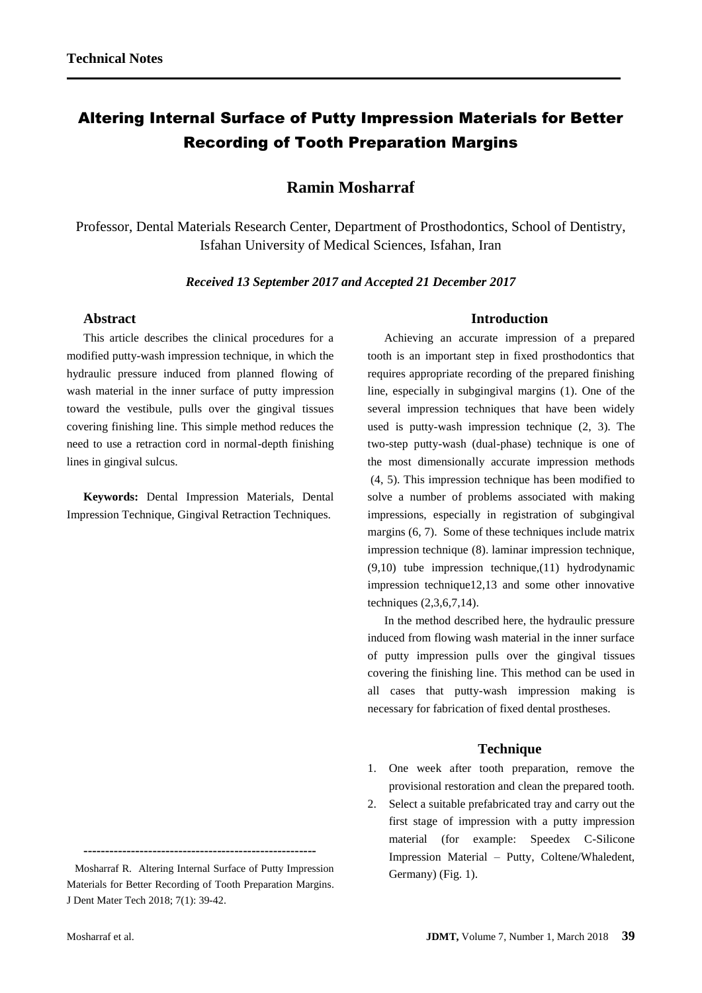# Altering Internal Surface of Putty Impression Materials for Better Recording of Tooth Preparation Margins

# **Ramin Mosharraf**

Professor, Dental Materials Research Center, Department of Prosthodontics, School of Dentistry, Isfahan University of Medical Sciences, Isfahan, Iran

#### *Received 13 September 2017 and Accepted 21 December 2017*

# **Abstract**

This article describes the clinical procedures for a modified putty-wash impression technique, in which the hydraulic pressure induced from planned flowing of wash material in the inner surface of putty impression toward the vestibule, pulls over the gingival tissues covering finishing line. This simple method reduces the need to use a retraction cord in normal-depth finishing lines in gingival sulcus.

**Keywords:** Dental Impression Materials, Dental Impression Technique, Gingival Retraction Techniques.

**------------------------------------------------------**

# **Introduction**

Achieving an accurate impression of a prepared tooth is an important step in fixed prosthodontics that requires appropriate recording of the prepared finishing line, especially in subgingival margins (1). One of the several impression techniques that have been widely used is putty-wash impression technique (2, 3). The two-step putty-wash (dual-phase) technique is one of the most dimensionally accurate impression methods (4, 5). This impression technique has been modified to solve a number of problems associated with making impressions, especially in registration of subgingival margins (6, 7). Some of these techniques include matrix impression technique (8). laminar impression technique, (9,10) tube impression technique,(11) hydrodynamic impression technique12,13 and some other innovative techniques (2,3,6,7,14).

In the method described here, the hydraulic pressure induced from flowing wash material in the inner surface of putty impression pulls over the gingival tissues covering the finishing line. This method can be used in all cases that putty-wash impression making is necessary for fabrication of fixed dental prostheses.

## **Technique**

- 1. One week after tooth preparation, remove the provisional restoration and clean the prepared tooth.
- 2. Select a suitable prefabricated tray and carry out the first stage of impression with a putty impression material (for example: Speedex C-Silicone Impression Material – Putty, Coltene/Whaledent, Germany) (Fig. 1).

Mosharraf R. Altering Internal Surface of Putty Impression Materials for Better Recording of Tooth Preparation Margins. J Dent Mater Tech 2018; 7(1): 39-42.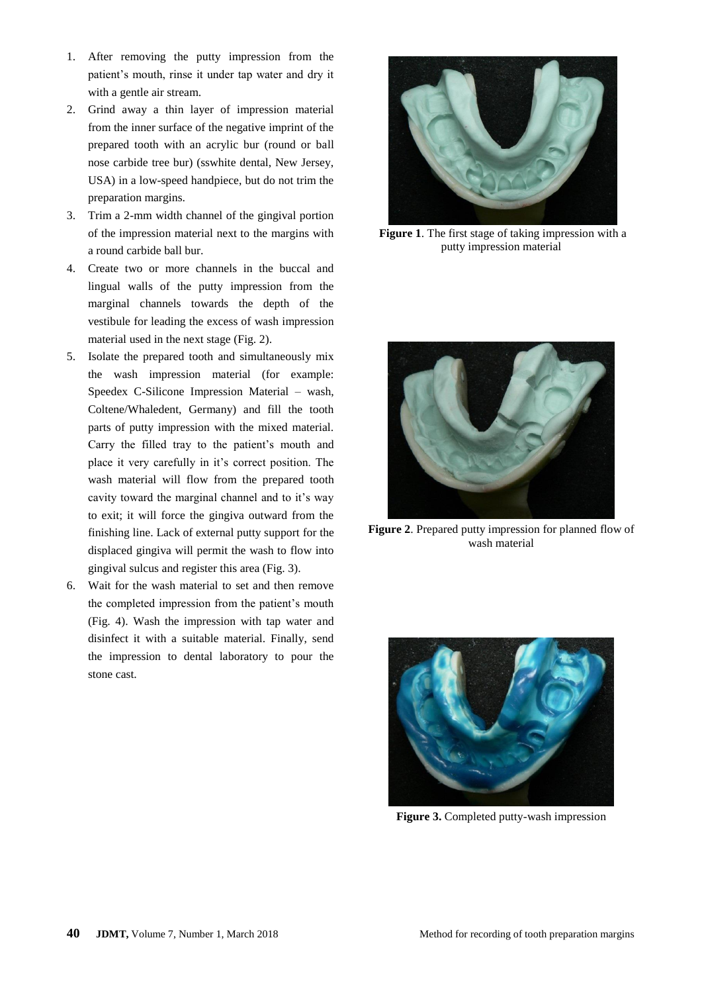- 1. After removing the putty impression from the patient's mouth, rinse it under tap water and dry it with a gentle air stream.
- 2. Grind away a thin layer of impression material from the inner surface of the negative imprint of the prepared tooth with an acrylic bur (round or ball nose carbide tree bur) (sswhite dental, New Jersey, USA) in a low-speed handpiece, but do not trim the preparation margins.
- 3. Trim a 2-mm width channel of the gingival portion of the impression material next to the margins with a round carbide ball bur.
- 4. Create two or more channels in the buccal and lingual walls of the putty impression from the marginal channels towards the depth of the vestibule for leading the excess of wash impression material used in the next stage (Fig. 2).
- 5. Isolate the prepared tooth and simultaneously mix the wash impression material (for example: Speedex C-Silicone Impression Material – wash, Coltene/Whaledent, Germany) and fill the tooth parts of putty impression with the mixed material. Carry the filled tray to the patient's mouth and place it very carefully in it's correct position. The wash material will flow from the prepared tooth cavity toward the marginal channel and to it's way to exit; it will force the gingiva outward from the finishing line. Lack of external putty support for the displaced gingiva will permit the wash to flow into gingival sulcus and register this area (Fig. 3).
- 6. Wait for the wash material to set and then remove the completed impression from the patient's mouth (Fig. 4). Wash the impression with tap water and disinfect it with a suitable material. Finally, send the impression to dental laboratory to pour the stone cast.



**Figure 1**. The first stage of taking impression with a putty impression material



**Figure 2**. Prepared putty impression for planned flow of wash material



**Figure 3.** Completed putty-wash impression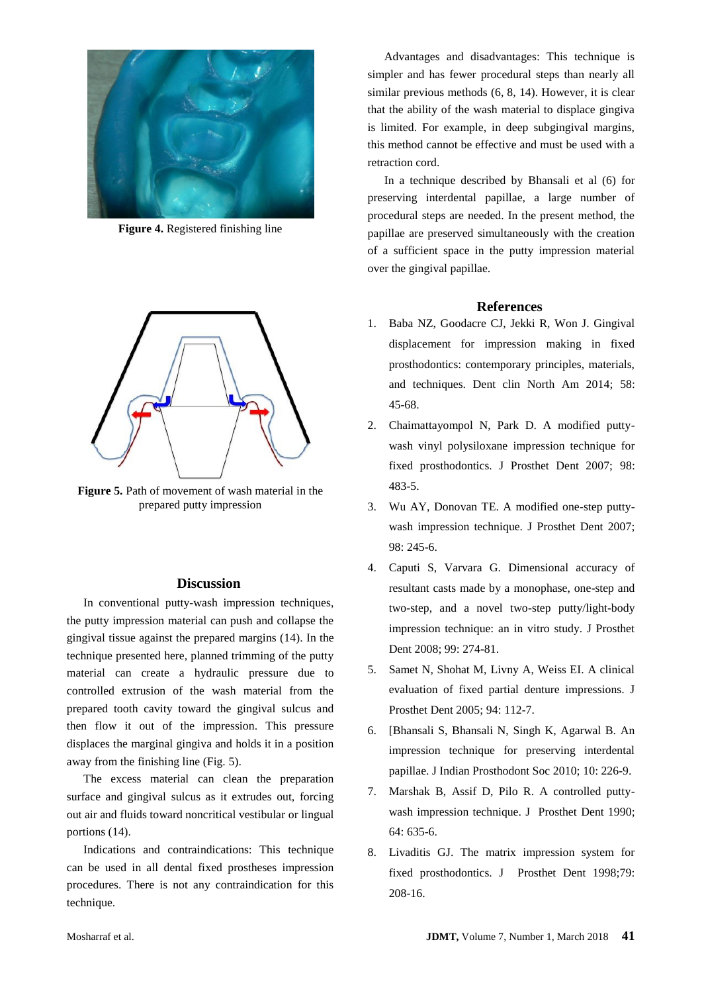

**Figure 4.** Registered finishing line



**Figure 5.** Path of movement of wash material in the prepared putty impression

### **Discussion**

In conventional putty-wash impression techniques, the putty impression material can push and collapse the gingival tissue against the prepared margins (14). In the technique presented here, planned trimming of the putty material can create a hydraulic pressure due to controlled extrusion of the wash material from the prepared tooth cavity toward the gingival sulcus and then flow it out of the impression. This pressure displaces the marginal gingiva and holds it in a position away from the finishing line (Fig. 5).

The excess material can clean the preparation surface and gingival sulcus as it extrudes out, forcing out air and fluids toward noncritical vestibular or lingual portions (14).

Indications and contraindications: This technique can be used in all dental fixed prostheses impression procedures. There is not any contraindication for this technique.

Advantages and disadvantages: This technique is simpler and has fewer procedural steps than nearly all similar previous methods (6, 8, 14). However, it is clear that the ability of the wash material to displace gingiva is limited. For example, in deep subgingival margins, this method cannot be effective and must be used with a retraction cord.

In a technique described by Bhansali et al (6) for preserving interdental papillae, a large number of procedural steps are needed. In the present method, the papillae are preserved simultaneously with the creation of a sufficient space in the putty impression material over the gingival papillae.

#### **References**

- 1. Baba NZ, Goodacre CJ, Jekki R, Won J. Gingival displacement for impression making in fixed prosthodontics: contemporary principles, materials, and techniques. Dent clin North Am 2014; 58: 45-68.
- 2. Chaimattayompol N, Park D. A modified puttywash vinyl polysiloxane impression technique for fixed prosthodontics. J Prosthet Dent 2007; 98: 483-5.
- 3. Wu AY, Donovan TE. A modified one-step puttywash impression technique. J Prosthet Dent 2007; 98: 245-6.
- 4. Caputi S, Varvara G. Dimensional accuracy of resultant casts made by a monophase, one-step and two-step, and a novel two-step putty/light-body impression technique: an in vitro study. J Prosthet Dent 2008; 99: 274-81.
- 5. Samet N, Shohat M, Livny A, Weiss EI. A clinical evaluation of fixed partial denture impressions. J Prosthet Dent 2005; 94: 112-7.
- 6. [Bhansali S, Bhansali N, Singh K, Agarwal B. An impression technique for preserving interdental papillae. J Indian Prosthodont Soc 2010; 10: 226-9.
- 7. Marshak B, Assif D, Pilo R. A controlled puttywash impression technique. J Prosthet Dent 1990; 64: 635-6.
- 8. Livaditis GJ. The matrix impression system for fixed prosthodontics. J Prosthet Dent 1998;79: 208-16.